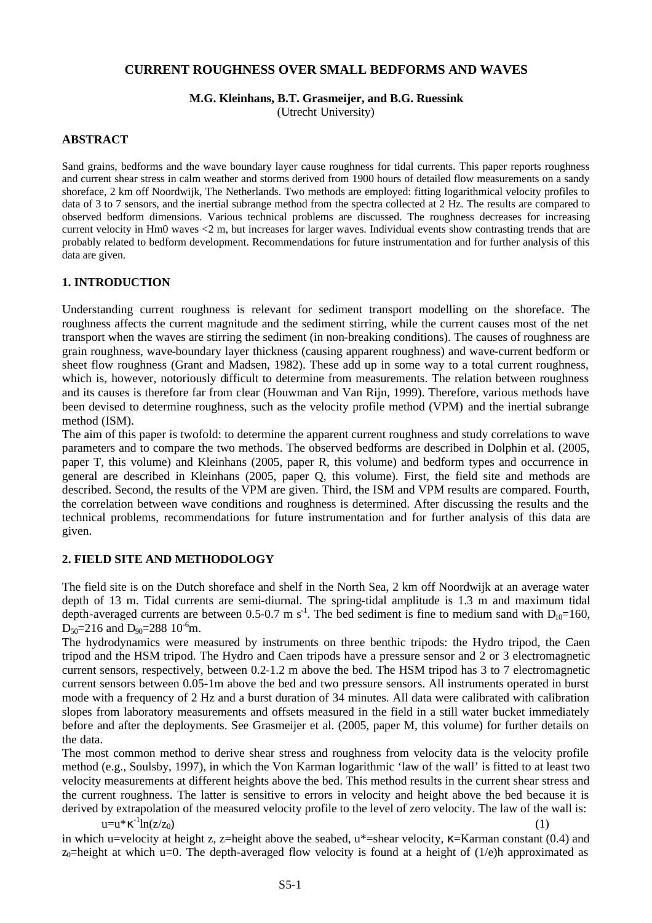# **CURRENT ROUGHNESS OVER SMALL BEDFORMS AND WAVES**

#### **M.G. Kleinhans, B.T. Grasmeijer, and B.G. Ruessink**

(Utrecht University)

## **ABSTRACT**

Sand grains, bedforms and the wave boundary layer cause roughness for tidal currents. This paper reports roughness and current shear stress in calm weather and storms derived from 1900 hours of detailed flow measurements on a sandy shoreface, 2 km off Noordwijk, The Netherlands. Two methods are employed: fitting logarithmical velocity profiles to data of 3 to 7 sensors, and the inertial subrange method from the spectra collected at 2 Hz. The results are compared to observed bedform dimensions. Various technical problems are discussed. The roughness decreases for increasing current velocity in Hm0 waves <2 m, but increases for larger waves. Individual events show contrasting trends that are probably related to bedform development. Recommendations for future instrumentation and for further analysis of this data are given.

## **1. INTRODUCTION**

Understanding current roughness is relevant for sediment transport modelling on the shoreface. The roughness affects the current magnitude and the sediment stirring, while the current causes most of the net transport when the waves are stirring the sediment (in non-breaking conditions). The causes of roughness are grain roughness, wave-boundary layer thickness (causing apparent roughness) and wave-current bedform or sheet flow roughness (Grant and Madsen, 1982). These add up in some way to a total current roughness, which is, however, notoriously difficult to determine from measurements. The relation between roughness and its causes is therefore far from clear (Houwman and Van Rijn, 1999). Therefore, various methods have been devised to determine roughness, such as the velocity profile method (VPM) and the inertial subrange method (ISM).

The aim of this paper is twofold: to determine the apparent current roughness and study correlations to wave parameters and to compare the two methods. The observed bedforms are described in Dolphin et al. (2005, paper T, this volume) and Kleinhans (2005, paper R, this volume) and bedform types and occurrence in general are described in Kleinhans (2005, paper Q, this volume). First, the field site and methods are described. Second, the results of the VPM are given. Third, the ISM and VPM results are compared. Fourth, the correlation between wave conditions and roughness is determined. After discussing the results and the technical problems, recommendations for future instrumentation and for further analysis of this data are given.

## **2. FIELD SITE AND METHODOLOGY**

The field site is on the Dutch shoreface and shelf in the North Sea, 2 km off Noordwijk at an average water depth of 13 m. Tidal currents are semi-diurnal. The spring-tidal amplitude is 1.3 m and maximum tidal depth-averaged currents are between 0.5-0.7 m s<sup>-1</sup>. The bed sediment is fine to medium sand with  $D_{10}=160$ ,  $D_{50}=216$  and  $D_{90}=288 \times 10^{-6}$ m.

The hydrodynamics were measured by instruments on three benthic tripods: the Hydro tripod, the Caen tripod and the HSM tripod. The Hydro and Caen tripods have a pressure sensor and 2 or 3 electromagnetic current sensors, respectively, between 0.2-1.2 m above the bed. The HSM tripod has 3 to 7 electromagnetic current sensors between 0.05-1m above the bed and two pressure sensors. All instruments operated in burst mode with a frequency of 2 Hz and a burst duration of 34 minutes. All data were calibrated with calibration slopes from laboratory measurements and offsets measured in the field in a still water bucket immediately before and after the deployments. See Grasmeijer et al. (2005, paper M, this volume) for further details on the data.

The most common method to derive shear stress and roughness from velocity data is the velocity profile method (e.g., Soulsby, 1997), in which the Von Karman logarithmic 'law of the wall' is fitted to at least two velocity measurements at different heights above the bed. This method results in the current shear stress and the current roughness. The latter is sensitive to errors in velocity and height above the bed because it is derived by extrapolation of the measured velocity profile to the level of zero velocity. The law of the wall is:

u=u\*κ $^{-1}$  $\ln(z/z_0)$  (1)

in which u=velocity at height z, z=height above the seabed,  $u^*$ =shear velocity,  $\kappa$ =Karman constant (0.4) and  $z_0$ =height at which u=0. The depth-averaged flow velocity is found at a height of (1/e)h approximated as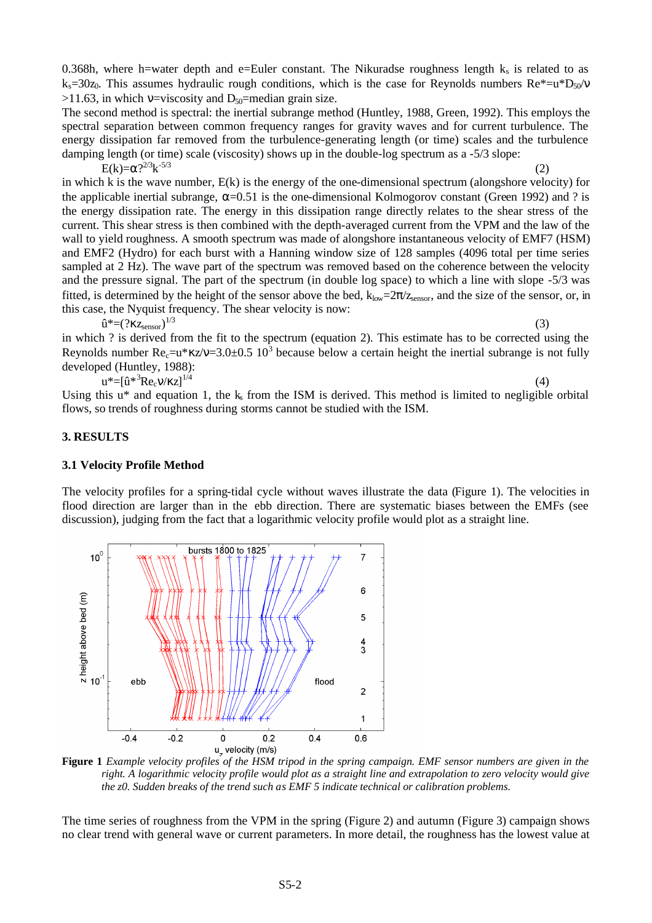S5-2

0.368h, where h=water depth and e=Euler constant. The Nikuradse roughness length  $k_s$  is related to as ks=30z<sub>0</sub>. This assumes hydraulic rough conditions, which is the case for Reynolds numbers Re\*=u\*D<sub>50</sub>/v  $>11.63$ , in which v=viscosity and D<sub>50</sub>=median grain size.

The second method is spectral: the inertial subrange method (Huntley, 1988, Green, 1992). This employs the spectral separation between common frequency ranges for gravity waves and for current turbulence. The energy dissipation far removed from the turbulence-generating length (or time) scales and the turbulence damping length (or time) scale (viscosity) shows up in the double-log spectrum as a -5/3 slope:

E(k)=α?<sup>2/3</sup>k  $-5/3$  (2) in which k is the wave number,  $E(k)$  is the energy of the one-dimensional spectrum (alongshore velocity) for the applicable inertial subrange,  $\alpha$ =0.51 is the one-dimensional Kolmogorov constant (Green 1992) and ? is the energy dissipation rate. The energy in this dissipation range directly relates to the shear stress of the current. This shear stress is then combined with the depth-averaged current from the VPM and the law of the wall to yield roughness. A smooth spectrum was made of alongshore instantaneous velocity of EMF7 (HSM) and EMF2 (Hydro) for each burst with a Hanning window size of 128 samples (4096 total per time series sampled at 2 Hz). The wave part of the spectrum was removed based on the coherence between the velocity and the pressure signal. The part of the spectrum (in double log space) to which a line with slope -5/3 was fitted, is determined by the height of the sensor above the bed,  $k_{low}=2\pi/z_{\text{sensor}}$ , and the size of the sensor, or, in this case, the Nyquist frequency. The shear velocity is now:  $\hat{\mathbf{u}}^*=(?Kz_{\text{sensor}})^{1/3}$  $^{1/3}$  (3)

in which ? is derived from the fit to the spectrum (equation 2). This estimate has to be corrected using the Reynolds number  $Re_c = u * \kappa z/v = 3.0 \pm 0.5 \frac{10^3}{10^3}$  because below a certain height the inertial subrange is not fully developed (Huntley, 1988):  $u^* = [\hat{u}^*^3 Re_c v / \kappa z]^{1/4}$  (4)

Using this  $u^*$  and equation 1, the  $k_s$  from the ISM is derived. This method is limited to negligible orbital flows, so trends of roughness during storms cannot be studied with the ISM.

#### **3. RESULTS**

 $10<sup>°</sup>$ 

#### **3.1 Velocity Profile Method**

The velocity profiles for a spring-tidal cycle without waves illustrate the data (Figure 1). The velocities in flood direction are larger than in the ebb direction. There are systematic biases between the EMFs (see discussion), judging from the fact that a logarithmic velocity profile would plot as a straight line.

 $\overline{7}$ 

**Figure 1** *Example velocity profiles of the HSM tripod in the spring campaign. EMF sensor numbers are given in the right. A logarithmic velocity profile would plot as a straight line and extrapolation to zero velocity would give the z0. Sudden breaks of the trend such as EMF 5 indicate technical or calibration problems.*

The time series of roughness from the VPM in the spring (Figure 2) and autumn (Figure 3) campaign shows no clear trend with general wave or current parameters. In more detail, the roughness has the lowest value at



bursts 1800 to 1825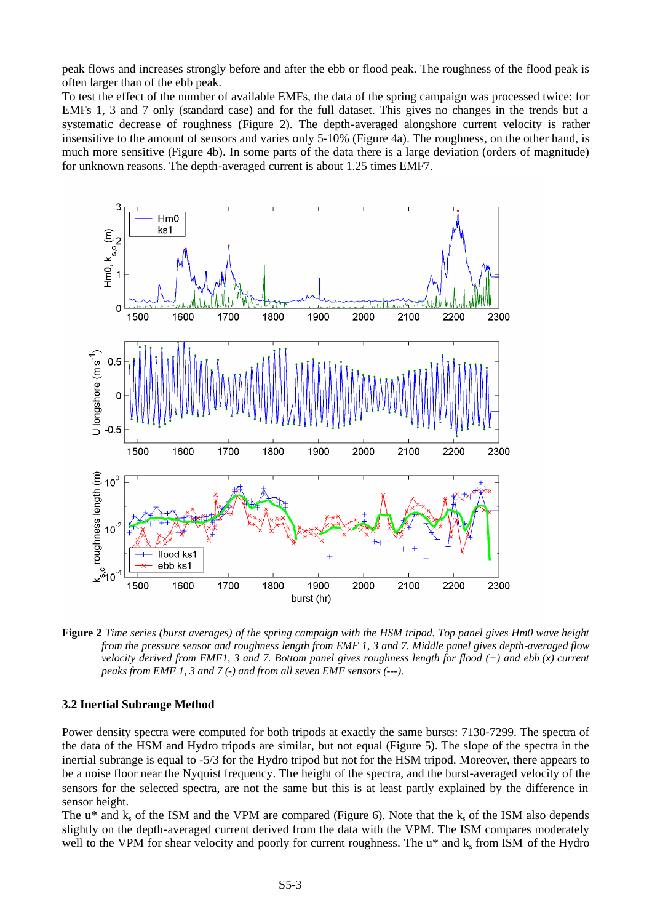peak flows and increases strongly before and after the ebb or flood peak. The roughness of the flood peak is often larger than of the ebb peak.

To test the effect of the number of available EMFs, the data of the spring campaign was processed twice: for EMFs 1, 3 and 7 only (standard case) and for the full dataset. This gives no changes in the trends but a systematic decrease of roughness (Figure 2). The depth-averaged alongshore current velocity is rather insensitive to the amount of sensors and varies only 5-10% (Figure 4a). The roughness, on the other hand, is much more sensitive (Figure 4b). In some parts of the data there is a large deviation (orders of magnitude) for unknown reasons. The depth-averaged current is about 1.25 times EMF7.



**Figure 2** *Time series (burst averages) of the spring campaign with the HSM tripod. Top panel gives Hm0 wave height from the pressure sensor and roughness length from EMF 1, 3 and 7. Middle panel gives depth-averaged flow velocity derived from EMF1, 3 and 7. Bottom panel gives roughness length for flood (+) and ebb (x) current peaks from EMF 1, 3 and 7 (-) and from all seven EMF sensors (---).* 

#### **3.2 Inertial Subrange Method**

Power density spectra were computed for both tripods at exactly the same bursts: 7130-7299. The spectra of the data of the HSM and Hydro tripods are similar, but not equal (Figure 5). The slope of the spectra in the inertial subrange is equal to -5/3 for the Hydro tripod but not for the HSM tripod. Moreover, there appears to be a noise floor near the Nyquist frequency. The height of the spectra, and the burst-averaged velocity of the sensors for the selected spectra, are not the same but this is at least partly explained by the difference in sensor height.

The  $u^*$  and  $k_s$  of the ISM and the VPM are compared (Figure 6). Note that the  $k_s$  of the ISM also depends slightly on the depth-averaged current derived from the data with the VPM. The ISM compares moderately well to the VPM for shear velocity and poorly for current roughness. The u\* and k<sub>s</sub> from ISM of the Hydro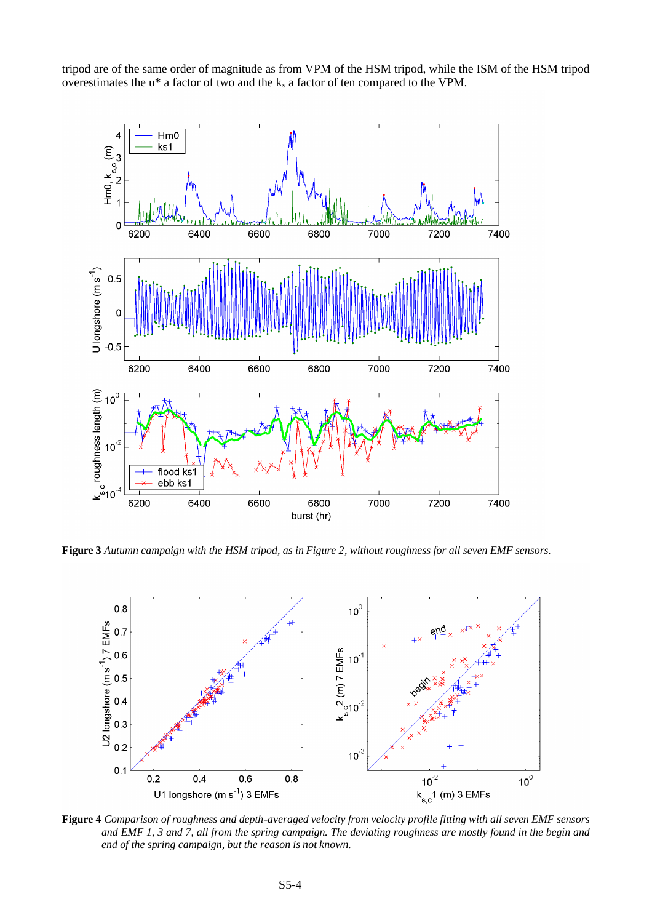tripod are of the same order of magnitude as from VPM of the HSM tripod, while the ISM of the HSM tripod overestimates the  $u^*$  a factor of two and the  $k_s$  a factor of ten compared to the VPM.



**Figure 3** *Autumn campaign with the HSM tripod, as in Figure 2, without roughness for all seven EMF sensors.*



**Figure 4** *Comparison of roughness and depth-averaged velocity from velocity profile fitting with all seven EMF sensors and EMF 1, 3 and 7, all from the spring campaign. The deviating roughness are mostly found in the begin and end of the spring campaign, but the reason is not known.*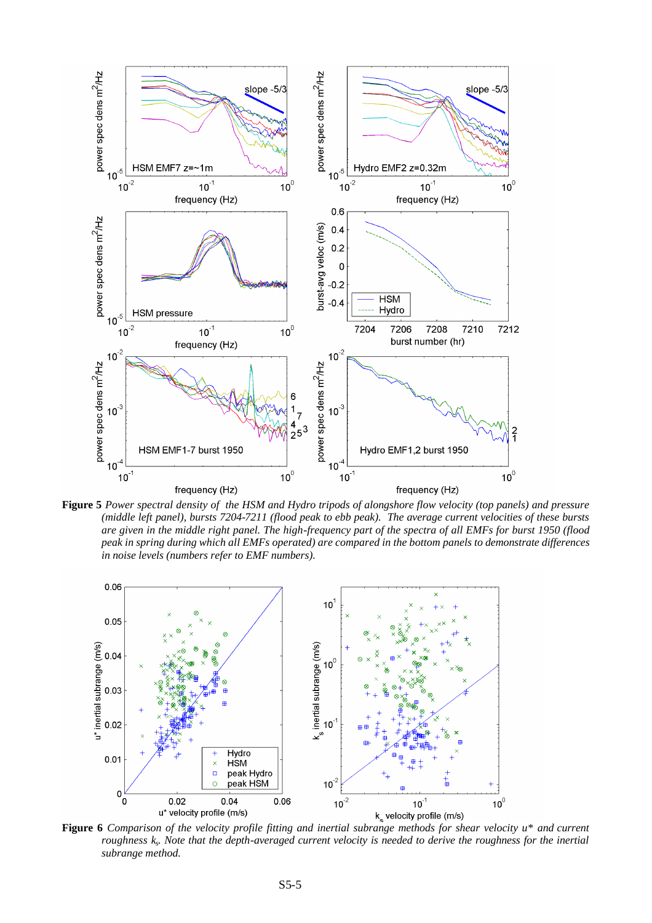

**Figure 5** *Power spectral density of the HSM and Hydro tripods of alongshore flow velocity (top panels) and pressure (middle left panel), bursts 7204-7211 (flood peak to ebb peak). The average current velocities of these bursts are given in the middle right panel. The high-frequency part of the spectra of all EMFs for burst 1950 (flood peak in spring during which all EMFs operated) are compared in the bottom panels to demonstrate differences in noise levels (numbers refer to EMF numbers).*



**Figure 6** *Comparison of the velocity profile fitting and inertial subrange methods for shear velocity u\* and current roughness k<sup>s</sup> . Note that the depth-averaged current velocity is needed to derive the roughness for the inertial subrange method.*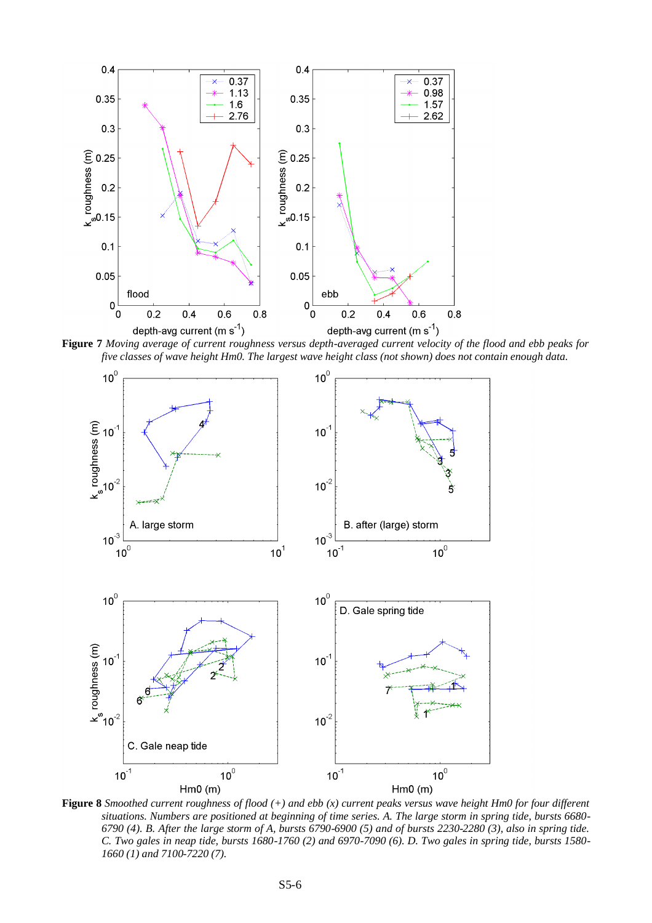

*five classes of wave height Hm0. The largest wave height class (not shown) does not contain enough data.*



**Figure 8** *Smoothed current roughness of flood (+) and ebb (x) current peaks versus wave height Hm0 for four different situations. Numbers are positioned at beginning of time series. A. The large storm in spring tide, bursts 6680- 6790 (4). B. After the large storm of A, bursts 6790-6900 (5) and of bursts 2230-2280 (3), also in spring tide. C. Two gales in neap tide, bursts 1680-1760 (2) and 6970-7090 (6). D. Two gales in spring tide, bursts 1580- 1660 (1) and 7100-7220 (7).*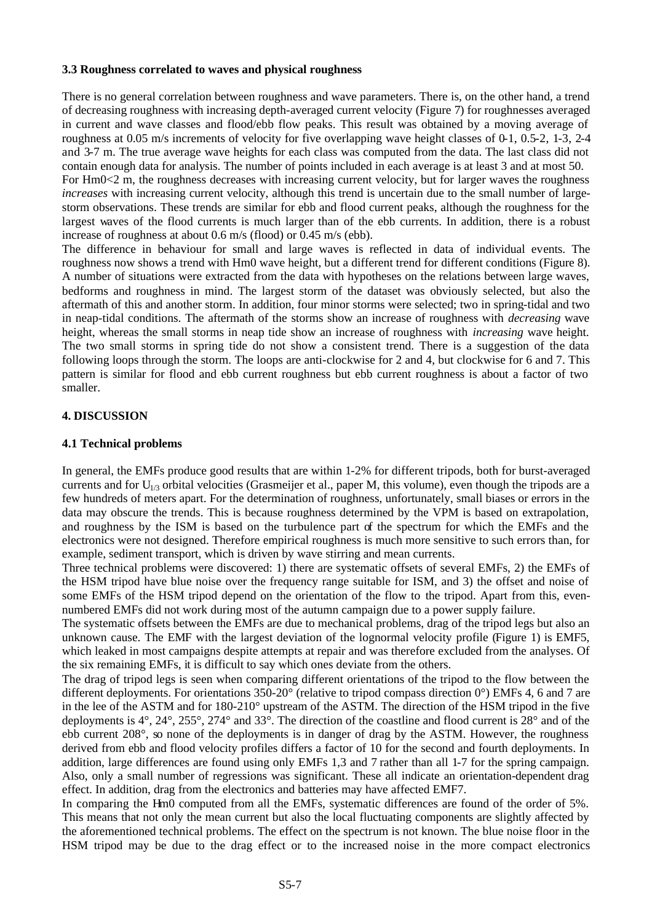## **3.3 Roughness correlated to waves and physical roughness**

There is no general correlation between roughness and wave parameters. There is, on the other hand, a trend of decreasing roughness with increasing depth-averaged current velocity (Figure 7) for roughnesses averaged in current and wave classes and flood/ebb flow peaks. This result was obtained by a moving average of roughness at 0.05 m/s increments of velocity for five overlapping wave height classes of 0-1, 0.5-2, 1-3, 2-4 and 3-7 m. The true average wave heights for each class was computed from the data. The last class did not contain enough data for analysis. The number of points included in each average is at least 3 and at most 50.

For Hm0<2 m, the roughness decreases with increasing current velocity, but for larger waves the roughness *increases* with increasing current velocity, although this trend is uncertain due to the small number of largestorm observations. These trends are similar for ebb and flood current peaks, although the roughness for the largest waves of the flood currents is much larger than of the ebb currents. In addition, there is a robust increase of roughness at about 0.6 m/s (flood) or 0.45 m/s (ebb).

The difference in behaviour for small and large waves is reflected in data of individual events. The roughness now shows a trend with Hm0 wave height, but a different trend for different conditions (Figure 8). A number of situations were extracted from the data with hypotheses on the relations between large waves, bedforms and roughness in mind. The largest storm of the dataset was obviously selected, but also the aftermath of this and another storm. In addition, four minor storms were selected; two in spring-tidal and two in neap-tidal conditions. The aftermath of the storms show an increase of roughness with *decreasing* wave height, whereas the small storms in neap tide show an increase of roughness with *increasing* wave height. The two small storms in spring tide do not show a consistent trend. There is a suggestion of the data following loops through the storm. The loops are anti-clockwise for 2 and 4, but clockwise for 6 and 7. This pattern is similar for flood and ebb current roughness but ebb current roughness is about a factor of two smaller.

# **4. DISCUSSION**

## **4.1 Technical problems**

In general, the EMFs produce good results that are within 1-2% for different tripods, both for burst-averaged currents and for  $U_{1/3}$  orbital velocities (Grasmeijer et al., paper M, this volume), even though the tripods are a few hundreds of meters apart. For the determination of roughness, unfortunately, small biases or errors in the data may obscure the trends. This is because roughness determined by the VPM is based on extrapolation, and roughness by the ISM is based on the turbulence part of the spectrum for which the EMFs and the electronics were not designed. Therefore empirical roughness is much more sensitive to such errors than, for example, sediment transport, which is driven by wave stirring and mean currents.

Three technical problems were discovered: 1) there are systematic offsets of several EMFs, 2) the EMFs of the HSM tripod have blue noise over the frequency range suitable for ISM, and 3) the offset and noise of some EMFs of the HSM tripod depend on the orientation of the flow to the tripod. Apart from this, evennumbered EMFs did not work during most of the autumn campaign due to a power supply failure.

The systematic offsets between the EMFs are due to mechanical problems, drag of the tripod legs but also an unknown cause. The EMF with the largest deviation of the lognormal velocity profile (Figure 1) is EMF5, which leaked in most campaigns despite attempts at repair and was therefore excluded from the analyses. Of the six remaining EMFs, it is difficult to say which ones deviate from the others.

The drag of tripod legs is seen when comparing different orientations of the tripod to the flow between the different deployments. For orientations 350-20° (relative to tripod compass direction 0°) EMFs 4, 6 and 7 are in the lee of the ASTM and for 180-210° upstream of the ASTM. The direction of the HSM tripod in the five deployments is 4°, 24°, 255°, 274° and 33°. The direction of the coastline and flood current is 28° and of the ebb current 208°, so none of the deployments is in danger of drag by the ASTM. However, the roughness derived from ebb and flood velocity profiles differs a factor of 10 for the second and fourth deployments. In addition, large differences are found using only EMFs 1,3 and 7 rather than all 1-7 for the spring campaign. Also, only a small number of regressions was significant. These all indicate an orientation-dependent drag effect. In addition, drag from the electronics and batteries may have affected EMF7.

In comparing the Hm0 computed from all the EMFs, systematic differences are found of the order of 5%. This means that not only the mean current but also the local fluctuating components are slightly affected by the aforementioned technical problems. The effect on the spectrum is not known. The blue noise floor in the HSM tripod may be due to the drag effect or to the increased noise in the more compact electronics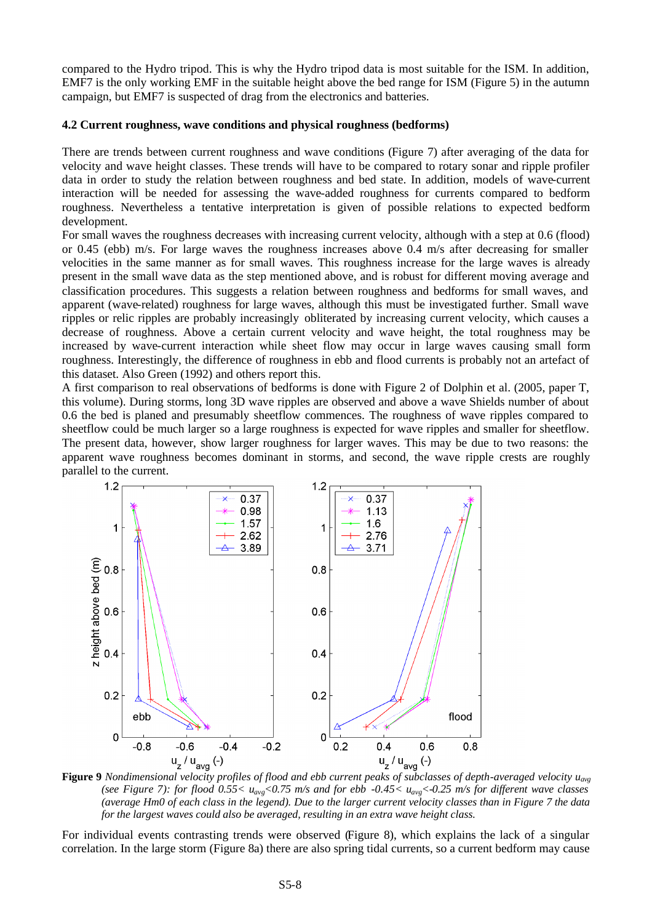compared to the Hydro tripod. This is why the Hydro tripod data is most suitable for the ISM. In addition, EMF7 is the only working EMF in the suitable height above the bed range for ISM (Figure 5) in the autumn campaign, but EMF7 is suspected of drag from the electronics and batteries.

#### **4.2 Current roughness, wave conditions and physical roughness (bedforms)**

There are trends between current roughness and wave conditions (Figure 7) after averaging of the data for velocity and wave height classes. These trends will have to be compared to rotary sonar and ripple profiler data in order to study the relation between roughness and bed state. In addition, models of wave-current interaction will be needed for assessing the wave-added roughness for currents compared to bedform roughness. Nevertheless a tentative interpretation is given of possible relations to expected bedform development.

For small waves the roughness decreases with increasing current velocity, although with a step at 0.6 (flood) or 0.45 (ebb) m/s. For large waves the roughness increases above 0.4 m/s after decreasing for smaller velocities in the same manner as for small waves. This roughness increase for the large waves is already present in the small wave data as the step mentioned above, and is robust for different moving average and classification procedures. This suggests a relation between roughness and bedforms for small waves, and apparent (wave-related) roughness for large waves, although this must be investigated further. Small wave ripples or relic ripples are probably increasingly obliterated by increasing current velocity, which causes a decrease of roughness. Above a certain current velocity and wave height, the total roughness may be increased by wave-current interaction while sheet flow may occur in large waves causing small form roughness. Interestingly, the difference of roughness in ebb and flood currents is probably not an artefact of this dataset. Also Green (1992) and others report this.

A first comparison to real observations of bedforms is done with Figure 2 of Dolphin et al. (2005, paper T, this volume). During storms, long 3D wave ripples are observed and above a wave Shields number of about 0.6 the bed is planed and presumably sheetflow commences. The roughness of wave ripples compared to sheetflow could be much larger so a large roughness is expected for wave ripples and smaller for sheetflow. The present data, however, show larger roughness for larger waves. This may be due to two reasons: the apparent wave roughness becomes dominant in storms, and second, the wave ripple crests are roughly parallel to the current.



**Figure 9** *Nondimensional velocity profiles of flood and ebb current peaks of subclasses of depth-averaged velocity uavg (see Figure 7): for flood 0.55< uavg<0.75 m/s and for ebb -0.45< uavg<-0.25 m/s for different wave classes (average Hm0 of each class in the legend). Due to the larger current velocity classes than in Figure 7 the data for the largest waves could also be averaged, resulting in an extra wave height class.*

For individual events contrasting trends were observed (Figure 8), which explains the lack of a singular correlation. In the large storm (Figure 8a) there are also spring tidal currents, so a current bedform may cause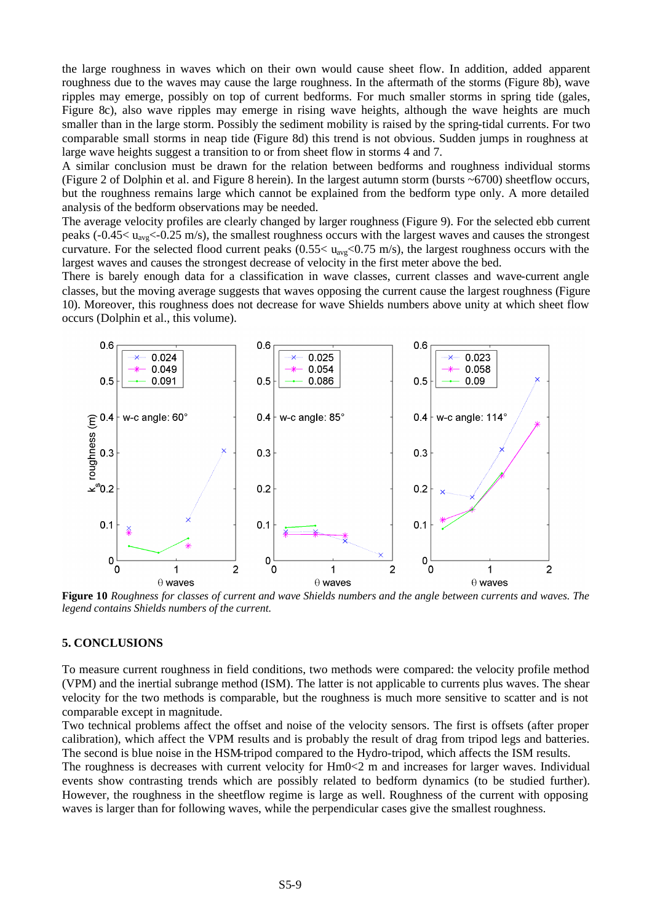the large roughness in waves which on their own would cause sheet flow. In addition, added apparent roughness due to the waves may cause the large roughness. In the aftermath of the storms (Figure 8b), wave ripples may emerge, possibly on top of current bedforms. For much smaller storms in spring tide (gales, Figure 8c), also wave ripples may emerge in rising wave heights, although the wave heights are much smaller than in the large storm. Possibly the sediment mobility is raised by the spring-tidal currents. For two comparable small storms in neap tide (Figure 8d) this trend is not obvious. Sudden jumps in roughness at large wave heights suggest a transition to or from sheet flow in storms 4 and 7.

A similar conclusion must be drawn for the relation between bedforms and roughness individual storms (Figure 2 of Dolphin et al. and Figure 8 herein). In the largest autumn storm (bursts ~6700) sheetflow occurs, but the roughness remains large which cannot be explained from the bedform type only. A more detailed analysis of the bedform observations may be needed.

The average velocity profiles are clearly changed by larger roughness (Figure 9). For the selected ebb current peaks ( $-0.45 < u_{\text{avg}} < -0.25$  m/s), the smallest roughness occurs with the largest waves and causes the strongest curvature. For the selected flood current peaks (0.55< uavg<0.75 m/s), the largest roughness occurs with the largest waves and causes the strongest decrease of velocity in the first meter above the bed.

There is barely enough data for a classification in wave classes, current classes and wave-current angle classes, but the moving average suggests that waves opposing the current cause the largest roughness (Figure 10). Moreover, this roughness does not decrease for wave Shields numbers above unity at which sheet flow occurs (Dolphin et al., this volume).



**Figure 10** *Roughness for classes of current and wave Shields numbers and the angle between currents and waves. The legend contains Shields numbers of the current.*

#### **5. CONCLUSIONS**

To measure current roughness in field conditions, two methods were compared: the velocity profile method (VPM) and the inertial subrange method (ISM). The latter is not applicable to currents plus waves. The shear velocity for the two methods is comparable, but the roughness is much more sensitive to scatter and is not comparable except in magnitude.

Two technical problems affect the offset and noise of the velocity sensors. The first is offsets (after proper calibration), which affect the VPM results and is probably the result of drag from tripod legs and batteries. The second is blue noise in the HSM-tripod compared to the Hydro-tripod, which affects the ISM results.

The roughness is decreases with current velocity for Hm0<2 m and increases for larger waves. Individual events show contrasting trends which are possibly related to bedform dynamics (to be studied further). However, the roughness in the sheetflow regime is large as well. Roughness of the current with opposing waves is larger than for following waves, while the perpendicular cases give the smallest roughness.